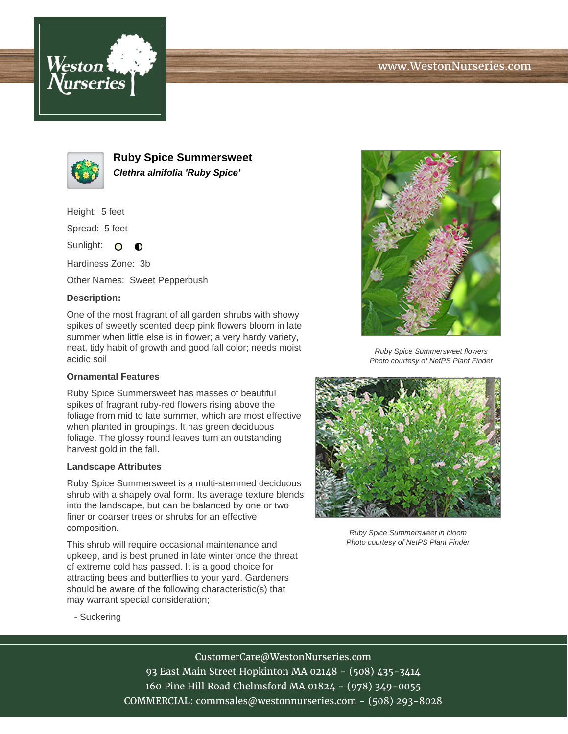





**Ruby Spice Summersweet Clethra alnifolia 'Ruby Spice'**

Height: 5 feet

Spread: 5 feet

Sunlight: O  $\bullet$ 

Hardiness Zone: 3b

Other Names: Sweet Pepperbush

### **Description:**

One of the most fragrant of all garden shrubs with showy spikes of sweetly scented deep pink flowers bloom in late summer when little else is in flower; a very hardy variety, neat, tidy habit of growth and good fall color; needs moist acidic soil

## **Ornamental Features**

Ruby Spice Summersweet has masses of beautiful spikes of fragrant ruby-red flowers rising above the foliage from mid to late summer, which are most effective when planted in groupings. It has green deciduous foliage. The glossy round leaves turn an outstanding harvest gold in the fall.

#### **Landscape Attributes**

Ruby Spice Summersweet is a multi-stemmed deciduous shrub with a shapely oval form. Its average texture blends into the landscape, but can be balanced by one or two finer or coarser trees or shrubs for an effective composition.

This shrub will require occasional maintenance and upkeep, and is best pruned in late winter once the threat of extreme cold has passed. It is a good choice for attracting bees and butterflies to your yard. Gardeners should be aware of the following characteristic(s) that may warrant special consideration;



Ruby Spice Summersweet flowers Photo courtesy of NetPS Plant Finder



Ruby Spice Summersweet in bloom Photo courtesy of NetPS Plant Finder

- Suckering

# CustomerCare@WestonNurseries.com

93 East Main Street Hopkinton MA 02148 - (508) 435-3414 160 Pine Hill Road Chelmsford MA 01824 - (978) 349-0055 COMMERCIAL: commsales@westonnurseries.com - (508) 293-8028